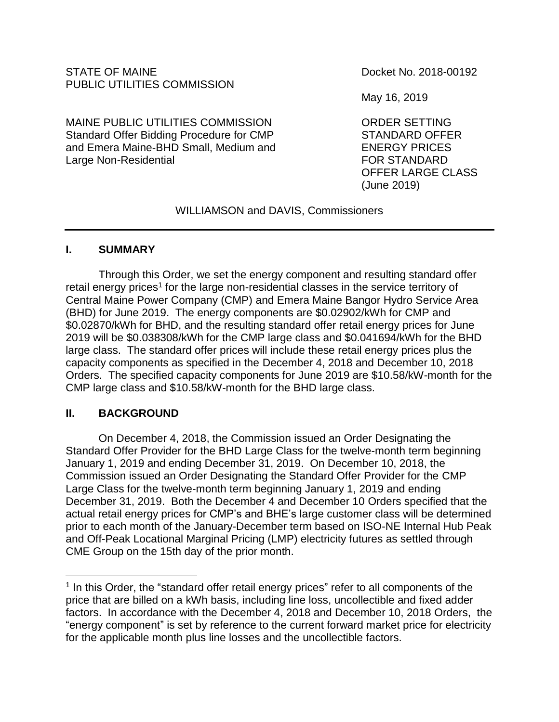# STATE OF MAINE **DOCKET NO. 2018-00192** PUBLIC UTILITIES COMMISSION

MAINE PUBLIC UTILITIES COMMISSION ORDER SETTING Standard Offer Bidding Procedure for CMP STANDARD OFFER and Emera Maine-BHD Small, Medium and ENERGY PRICES Large Non-Residential **Example 20** FOR STANDARD

May 16, 2019

OFFER LARGE CLASS (June 2019)

WILLIAMSON and DAVIS, Commissioners

## **I. SUMMARY**

Through this Order, we set the energy component and resulting standard offer retail energy prices<sup>1</sup> for the large non-residential classes in the service territory of Central Maine Power Company (CMP) and Emera Maine Bangor Hydro Service Area (BHD) for June 2019. The energy components are \$0.02902/kWh for CMP and \$0.02870/kWh for BHD, and the resulting standard offer retail energy prices for June 2019 will be \$0.038308/kWh for the CMP large class and \$0.041694/kWh for the BHD large class. The standard offer prices will include these retail energy prices plus the capacity components as specified in the December 4, 2018 and December 10, 2018 Orders. The specified capacity components for June 2019 are \$10.58/kW-month for the CMP large class and \$10.58/kW-month for the BHD large class.

## **II. BACKGROUND**

 $\overline{a}$ 

On December 4, 2018, the Commission issued an Order Designating the Standard Offer Provider for the BHD Large Class for the twelve-month term beginning January 1, 2019 and ending December 31, 2019. On December 10, 2018, the Commission issued an Order Designating the Standard Offer Provider for the CMP Large Class for the twelve-month term beginning January 1, 2019 and ending December 31, 2019. Both the December 4 and December 10 Orders specified that the actual retail energy prices for CMP's and BHE's large customer class will be determined prior to each month of the January-December term based on ISO-NE Internal Hub Peak and Off-Peak Locational Marginal Pricing (LMP) electricity futures as settled through CME Group on the 15th day of the prior month.

<sup>&</sup>lt;sup>1</sup> In this Order, the "standard offer retail energy prices" refer to all components of the price that are billed on a kWh basis, including line loss, uncollectible and fixed adder factors. In accordance with the December 4, 2018 and December 10, 2018 Orders, the "energy component" is set by reference to the current forward market price for electricity for the applicable month plus line losses and the uncollectible factors.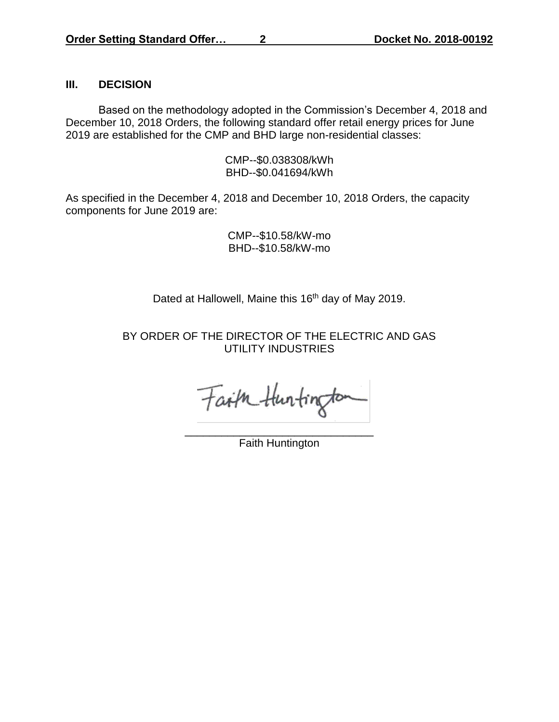### **III. DECISION**

Based on the methodology adopted in the Commission's December 4, 2018 and December 10, 2018 Orders, the following standard offer retail energy prices for June 2019 are established for the CMP and BHD large non-residential classes:

> CMP--\$0.038308/kWh BHD--\$0.041694/kWh

As specified in the December 4, 2018 and December 10, 2018 Orders, the capacity components for June 2019 are:

> CMP--\$10.58/kW-mo BHD--\$10.58/kW-mo

Dated at Hallowell, Maine this 16<sup>th</sup> day of May 2019.

BY ORDER OF THE DIRECTOR OF THE ELECTRIC AND GAS UTILITY INDUSTRIES

Faith Huntington

\_\_\_\_\_\_\_\_\_\_\_\_\_\_\_\_\_\_\_\_\_\_\_\_\_\_\_\_\_\_\_ Faith Huntington